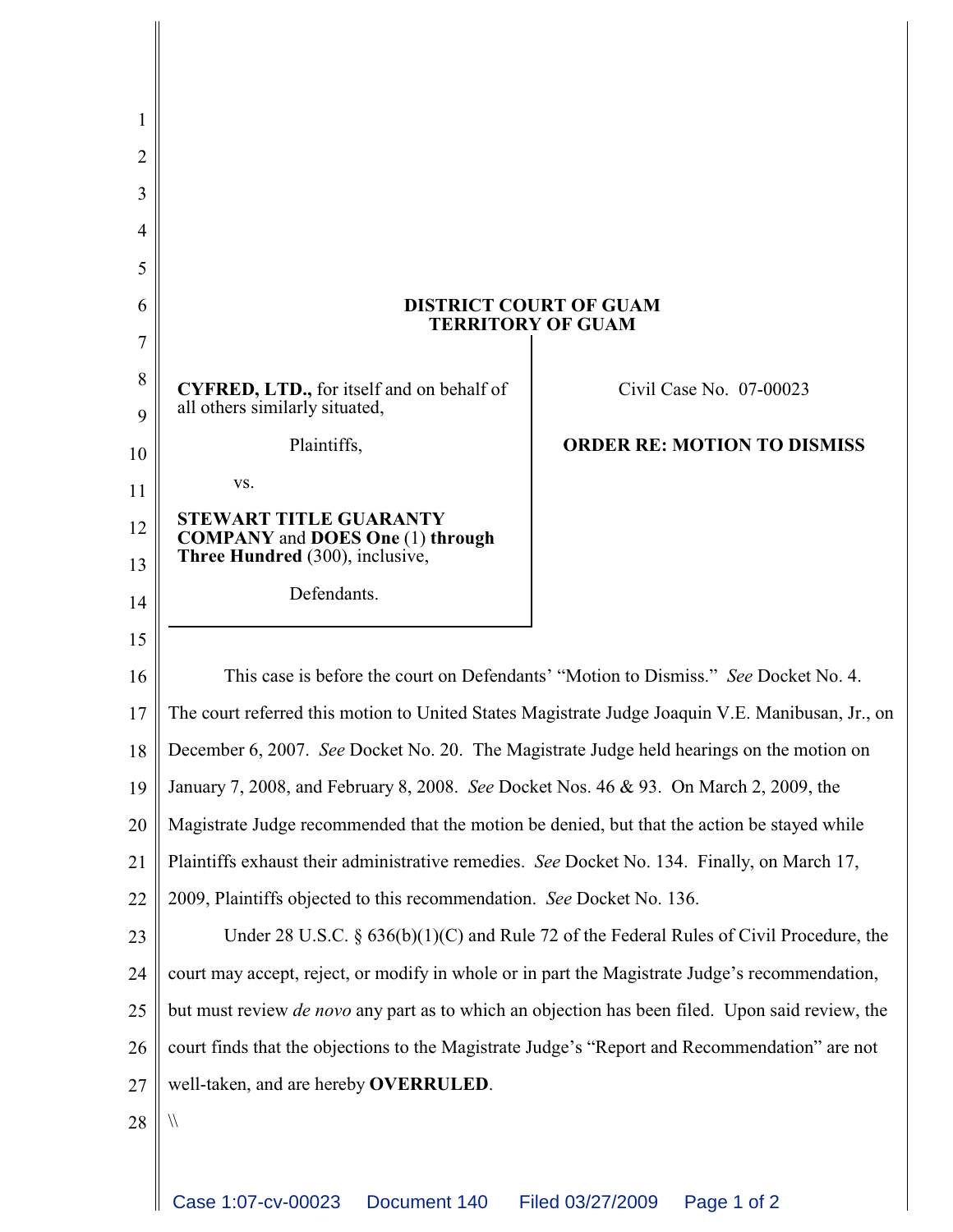| 1      |                                                                                                        |                                    |
|--------|--------------------------------------------------------------------------------------------------------|------------------------------------|
| 2      |                                                                                                        |                                    |
| 3      |                                                                                                        |                                    |
| 4      |                                                                                                        |                                    |
| 5      |                                                                                                        |                                    |
| 6      | <b>DISTRICT COURT OF GUAM</b><br><b>TERRITORY OF GUAM</b>                                              |                                    |
| 7      |                                                                                                        |                                    |
| 8<br>9 | <b>CYFRED, LTD.,</b> for itself and on behalf of<br>all others similarly situated,                     | Civil Case No. 07-00023            |
| 10     | Plaintiffs,                                                                                            | <b>ORDER RE: MOTION TO DISMISS</b> |
| 11     | VS.                                                                                                    |                                    |
| 12     | <b>STEWART TITLE GUARANTY</b>                                                                          |                                    |
| 13     | <b>COMPANY</b> and <b>DOES</b> One (1) through<br>Three Hundred (300), inclusive,                      |                                    |
| 14     | Defendants.                                                                                            |                                    |
| 15     |                                                                                                        |                                    |
| 16     | This case is before the court on Defendants' "Motion to Dismiss." See Docket No. 4.                    |                                    |
| 17     | The court referred this motion to United States Magistrate Judge Joaquin V.E. Manibusan, Jr., on       |                                    |
| 18     | December 6, 2007. See Docket No. 20. The Magistrate Judge held hearings on the motion on               |                                    |
| 19     | January 7, 2008, and February 8, 2008. See Docket Nos. 46 & 93. On March 2, 2009, the                  |                                    |
| 20     | Magistrate Judge recommended that the motion be denied, but that the action be stayed while            |                                    |
| 21     | Plaintiffs exhaust their administrative remedies. See Docket No. 134. Finally, on March 17,            |                                    |
| 22     | 2009, Plaintiffs objected to this recommendation. See Docket No. 136.                                  |                                    |
| 23     | Under 28 U.S.C. $\S$ 636(b)(1)(C) and Rule 72 of the Federal Rules of Civil Procedure, the             |                                    |
| 24     | court may accept, reject, or modify in whole or in part the Magistrate Judge's recommendation,         |                                    |
| 25     | but must review <i>de novo</i> any part as to which an objection has been filed. Upon said review, the |                                    |
| 26     | court finds that the objections to the Magistrate Judge's "Report and Recommendation" are not          |                                    |
| 27     | well-taken, and are hereby OVERRULED.                                                                  |                                    |
| 28     | $\sqrt{}$                                                                                              |                                    |
|        |                                                                                                        |                                    |